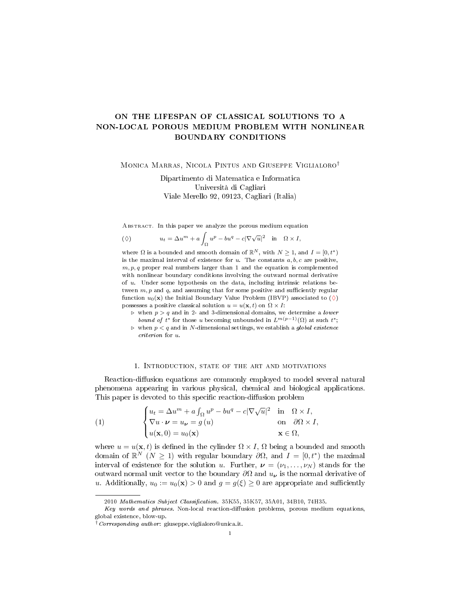# ON THE LIFESPAN OF CLASSICAL SOLUTIONS TO A NON-LOCAL POROUS MEDIUM PROBLEM WITH NONLINEAR BOUNDARY CONDITIONS

Monica Marras, Nicola Pintus and Giuseppe Viglialoro†

Dipartimento di Matematica e Informatica Università di Cagliari Viale Merello 92, 09123, Cagliari (Italia)

Abstract. In this paper we analyze the porous medium equation

<span id="page-0-0"></span>
$$
(\Diamond) \t u_t = \Delta u^m + a \int_{\Omega} u^p - bu^q - c|\nabla \sqrt{u}|^2 \quad \text{in} \quad \Omega \times I,
$$

where  $\Omega$  is a bounded and smooth domain of  $\mathbb{R}^N$ , with  $N \geq 1$ , and  $I = [0, t^*)$ is the maximal interval of existence for  $u$ . The constants  $a, b, c$  are positive,  $m, p, q$  proper real numbers larger than 1 and the equation is complemented with nonlinear boundary conditions involving the outward normal derivative of  $u$ . Under some hypothesis on the data, including intrinsic relations between  $m, p$  and  $q$ , and assuming that for some positive and sufficiently regular function  $u_0(\mathbf{x})$  the Initial Boundary Value Problem (IBVP) associated to  $(\Diamond)$ possesses a positive classical solution  $u = u(\mathbf{x}, t)$  on  $\Omega \times I$ :

 $\triangleright$  when  $p > q$  and in 2- and 3-dimensional domains, we determine a *lower* bound of  $t^*$  for those u becoming unbounded in  $L^{m(p-1)}(\Omega)$  at such  $t^*$ ;

 $\triangleright$  when  $p < q$  and in N-dimensional settings, we establish a global existence criterion for u.

## 1. INTRODUCTION, STATE OF THE ART AND MOTIVATIONS

<span id="page-0-2"></span>Reaction-diffusion equations are commonly employed to model several natural phenomena appearing in various physical, chemical and biological applications. This paper is devoted to this specific reaction-diffusion problem

<span id="page-0-1"></span>(1) 
$$
\begin{cases} u_t = \Delta u^m + a \int_{\Omega} u^p - bu^q - c |\nabla \sqrt{u}|^2 & \text{in } \Omega \times I, \\ \nabla u \cdot \mathbf{\nu} = u_{\mathbf{\nu}} = g(u) & \text{on } \partial \Omega \times I, \\ u(\mathbf{x}, 0) = u_0(\mathbf{x}) & \mathbf{x} \in \Omega, \end{cases}
$$

where  $u = u(\mathbf{x}, t)$  is defined in the cylinder  $\Omega \times I$ ,  $\Omega$  being a bounded and smooth domain of  $\mathbb{R}^N$   $(N \geq 1)$  with regular boundary  $\partial\Omega$ , and  $I = [0, t^*)$  the maximal interval of existence for the solution u. Further,  $\nu = (\nu_1, \dots, \nu_N)$  stands for the outward normal unit vector to the boundary  $\partial\Omega$  and  $u_{\nu}$  is the normal derivative of u. Additionally,  $u_0 := u_0(\mathbf{x}) > 0$  and  $q = q(\xi) \geq 0$  are appropriate and sufficiently

<sup>2010</sup> Mathematics Subject Classification. 35K55, 35K57, 35A01, 34B10, 74H35.

Key words and phrases. Non-local reaction-diffusion problems, porous medium equations, global existence, blow-up.

<sup>&</sup>lt;sup>†</sup>Corresponding author: giuseppe.viglialoro@unica.it.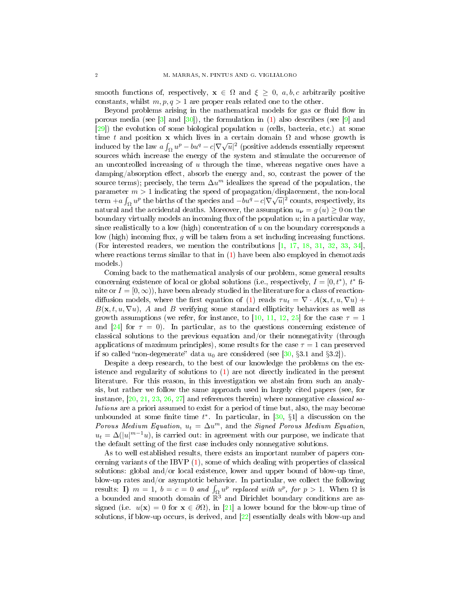smooth functions of, respectively,  $\mathbf{x} \in \Omega$  and  $\xi \geq 0$ , a, b, c arbitrarily positive constants, whilst  $m, p, q > 1$  are proper reals related one to the other.

Beyond problems arising in the mathematical models for gas or fluid flow in porous media (see  $\lceil 3 \rceil$  and  $\lceil 30 \rceil$ ), the formulation in  $\lceil 1 \rceil$  also describes (see  $\lceil 9 \rceil$  and [\[29\]](#page-12-1)) the evolution of some biological population u (cells, bacteria, etc.) at some time t and position x which lives in a certain domain  $\Omega$  and whose growth is induced by the law  $a \int_{\Omega} u^p - bu^q - c|\nabla \sqrt{u}|^2$  (positive addends essentially represent sources which increase the energy of the system and stimulate the occurrence of an uncontrolled increasing of  $u$  through the time, whereas negative ones have a damping/absorption effect, absorb the energy and, so, contrast the power of the source terms); precisely, the term  $\Delta u^m$  idealizes the spread of the population, the parameter  $m > 1$  indicating the speed of propagation/displacement, the non-local parameter  $m > 1$  indicating the speed of propagation/displacement, the non-local<br>term  $+a \int_{\Omega} u^p$  the births of the species and  $-bu^q - c|\nabla \sqrt{u}|^2$  counts, respectively, its natural and the accidental deaths. Moreover, the assumption  $u_{\nu} = g(u) \ge 0$  on the boundary virtually models an incoming flux of the population  $u$ ; in a particular way, since realistically to a low (high) concentration of  $u$  on the boundary corresponds a low (high) incoming flux,  $g$  will be taken from a set including increasing functions. (For interested readers, we mention the contributions [\[1,](#page-11-2) [17,](#page-11-3) [18,](#page-11-4) [31,](#page-12-2) [32,](#page-12-3) [33,](#page-12-4) [34\]](#page-12-5), where reactions terms similar to that in  $(1)$  have been also employed in chemotaxis models.)

Coming back to the mathematical analysis of our problem, some general results concerning existence of local or global solutions (i.e., respectively,  $I = [0, t^*)$ ,  $t^*$  finite or  $I = [0, \infty)$ , have been already studied in the literature for a class of reaction-diffusion models, where the first equation of [\(1\)](#page-0-1) reads  $\tau u_t = \nabla \cdot A(\mathbf{x}, t, u, \nabla u)$  +  $B(\mathbf{x}, t, u, \nabla u)$ , A and B verifying some standard ellipticity behaviors as well as growth assumptions (we refer, for instance, to [\[10,](#page-11-5) [11,](#page-11-6) [12,](#page-11-7) [25\]](#page-12-6) for the case  $\tau = 1$ and [\[24\]](#page-12-7) for  $\tau = 0$ ). In particular, as to the questions concerning existence of classical solutions to the previous equation and/or their nonnegativity (through applications of maximum principles), some results for the case  $\tau = 1$  can preserved if so called "non-degenerate" data  $u_0$  are considered (see [\[30,](#page-12-0) §3.1 and §3.2]).

Despite a deep research, to the best of our knowledge the problems on the existence and regularity of solutions to [\(1\)](#page-0-1) are not directly indicated in the present literature. For this reason, in this investigation we abstain from such an analysis, but rather we follow the same approach used in largely cited papers (see, for instance,  $[20, 21, 23, 26, 27]$  $[20, 21, 23, 26, 27]$  $[20, 21, 23, 26, 27]$  $[20, 21, 23, 26, 27]$  $[20, 21, 23, 26, 27]$  $[20, 21, 23, 26, 27]$  $[20, 21, 23, 26, 27]$  $[20, 21, 23, 26, 27]$  $[20, 21, 23, 26, 27]$  and references therein) where nonnegative *classical so*lutions are a priori assumed to exist for a period of time but, also, the may become unbounded at some finite time  $t^*$ . In particular, in [\[30,](#page-12-0) §1] a discussion on the Porous Medium Equation,  $u_t = \Delta u^m$ , and the Signed Porous Medium Equation,  $u_t = \Delta(|u|^{m-1}u)$ , is carried out: in agreement with our purpose, we indicate that the default setting of the first case includes only nonnegative solutions.

As to well established results, there exists an important number of papers concerning variants of the IBVP [\(1\)](#page-0-1), some of which dealing with properties of classical solutions: global and/or local existence, lower and upper bound of blow-up time, blow-up rates and/or asymptotic behavior. In particular, we collect the following results: **I**)  $m = 1$ ,  $b = c = 0$  and  $\int_{\Omega} u^p$  replaced with  $u^p$ , for  $p > 1$ . When  $\Omega$  is a bounded and smooth domain of  $\mathbb{R}^3$  and Dirichlet boundary conditions are assigned (i.e.  $u(\mathbf{x}) = 0$  for  $\mathbf{x} \in \partial \Omega$ ), in [\[21\]](#page-12-9) a lower bound for the blow-up time of solutions, if blow-up occurs, is derived, and [\[22\]](#page-12-13) essentially deals with blow-up and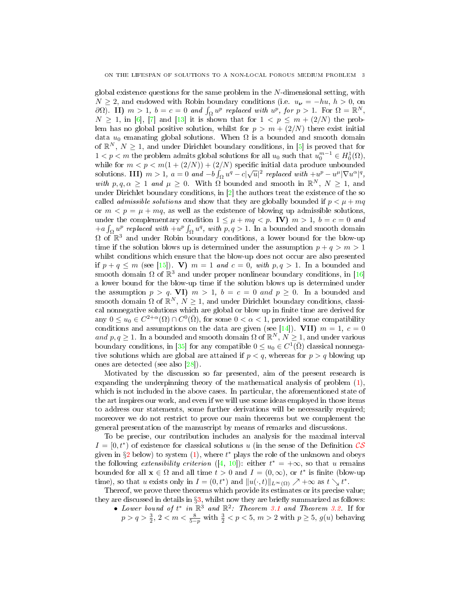global existence questions for the same problem in the  $N$ -dimensional setting, with  $N \geq 2$ , and endowed with Robin boundary conditions (i.e.  $u_{\nu} = -hu, h > 0$ , on  $\partial\Omega$ ). II)  $m>1$ ,  $b=c=0$  and  $\int_{\Omega} u^p$  replaced with  $u^p$ , for  $p>1$ . For  $\Omega=\mathbb{R}^N$ ,  $N \geq 1$ , in [\[6\]](#page-11-8), [\[7\]](#page-11-9) and [\[13\]](#page-11-10) it is shown that for  $1 \lt p \leq m + (2/N)$  the problem has no global positive solution, whilst for  $p > m + (2/N)$  there exist initial data  $u_0$  emanating global solutions. When  $\Omega$  is a bounded and smooth domain of  $\mathbb{R}^N$ ,  $N \geq 1$ , and under Dirichlet boundary conditions, in [\[5\]](#page-11-11) is proved that for  $1 < p < m$  the problem admits global solutions for all  $u_0$  such that  $u_0^{m-1} \in H_0^1(\Omega)$ , while for  $m < p < m(1 + (2/N)) + (2/N)$  specific initial data produce unbounded solutions. III)  $m > 1$ ,  $a = 0$  and  $-b \int_{\Omega} u^q - c |\sqrt{u}|^2$  replaced with  $+u^p - u^{\mu} |\nabla u^{\alpha}|^q$ , with  $p, q, \alpha \geq 1$  and  $\mu \geq 0$ . With  $\Omega$  bounded and smooth in  $\mathbb{R}^N$ ,  $N \geq 1$ , and under Dirichlet boundary conditions, in  $[2]$  the authors treat the existence of the so called *admissible solutions* and show that they are globally bounded if  $p < \mu + mq$ or  $m < p = \mu + mq$ , as well as the existence of blowing up admissible solutions, under the complementary condition  $1 \leq \mu + mq < p$ . IV)  $m > 1$ ,  $b = c = 0$  and  $+a\int_{\Omega} u^p$  replaced with  $+u^p\int_{\Omega} u^q$ , with  $p, q > 1$ . In a bounded and smooth domain  $\Omega$  of  $\mathbb{R}^3$  and under Robin boundary conditions, a lower bound for the blow-up time if the solution blows up is determined under the assumption  $p + q > m > 1$ whilst conditions which ensure that the blow-up does not occur are also presented if  $p + q \le m$  (see [\[15\]](#page-11-13)). V)  $m = 1$  and  $c = 0$ , with  $p, q > 1$ . In a bounded and smooth domain  $\Omega$  of  $\mathbb{R}^3$  and under proper nonlinear boundary conditions, in [\[16\]](#page-11-14) a lower bound for the blow-up time if the solution blows up is determined under the assumption  $p > q$ . VI)  $m > 1$ ,  $b = c = 0$  and  $p \ge 0$ . In a bounded and smooth domain  $\Omega$  of  $\mathbb{R}^N$ ,  $N \geq 1$ , and under Dirichlet boundary conditions, classical nonnegative solutions which are global or blow up in finite time are derived for any  $0 \le u_0 \in C^{2+\alpha}(\Omega) \cap C^0(\overline{\Omega})$ , for some  $0 < \alpha < 1$ , provided some compatibility conditions and assumptions on the data are given (see [\[14\]](#page-11-15)). VII)  $m = 1, c = 0$ and  $p, q \geq 1$ . In a bounded and smooth domain  $\Omega$  of  $\mathbb{R}^N, N \geq 1$ , and under various boundary conditions, in [\[35\]](#page-12-14) for any compatible  $0 \leq u_0 \in C^1(\overline{\Omega})$  classical nonnegative solutions which are global are attained if  $p < q$ , whereas for  $p > q$  blowing up ones are detected (see also [\[28\]](#page-12-15)).

Motivated by the discussion so far presented, aim of the present research is expanding the underpinning theory of the mathematical analysis of problem [\(1\)](#page-0-1), which is not included in the above cases. In particular, the aforementioned state of the art inspires our work, and even if we will use some ideas employed in those items to address our statements, some further derivations will be necessarily required; moreover we do not restrict to prove our main theorems but we complement the general presentation of the manuscript by means of remarks and discussions.

To be precise, our contribution includes an analysis for the maximal interval  $I = [0, t^*)$  of existence for classical solutions u (in the sense of the Definition  $\mathcal{CS}$  $\mathcal{CS}$  $\mathcal{CS}$ given in  $\S2$  $\S2$  below) to system [\(1\)](#page-0-1), where  $t^*$  plays the role of the unknown and obeys the following *extensibility criterion* ([\[4,](#page-11-16) [10\]](#page-11-5)): either  $t^* = +\infty$ , so that u remains bounded for all  $\mathbf{x} \in \Omega$  and all time  $t > 0$  and  $I = (0, \infty)$ , or  $t^*$  is finite (blow-up time), so that u exists only in  $I = (0, t^*)$  and  $||u(\cdot, t)||_{L^\infty(\Omega)} \nearrow +\infty$  as  $t \searrow t^*$ .

Thereof, we prove three theorems which provide its estimates or its precise value; they are discussed in details in  $\S3$ , whilst now they are briefly summarized as follows:

• Lower bound of  $t^*$  in  $\mathbb{R}^3$  and  $\mathbb{R}^2$ : Theorem [3.1](#page-4-1) and Theorem [3.2.](#page-7-0) If for  $p > q > \frac{3}{2}, 2 < m < \frac{8}{5-p}$  with  $\frac{3}{2} < p < 5, m > 2$  with  $p \ge 5, g(u)$  behaving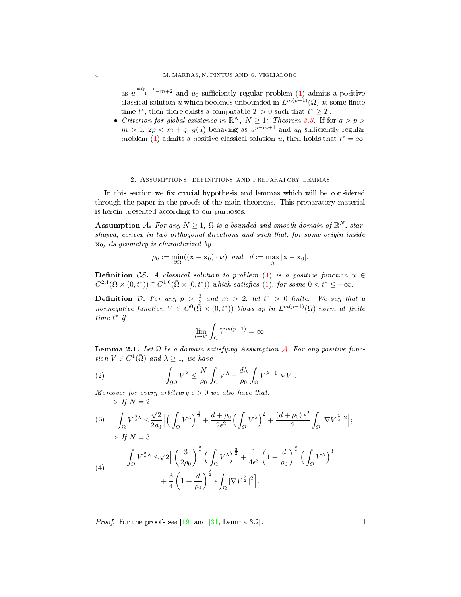as  $u^{\frac{m(p-1)}{4}-m+2}$  and  $u_0$  sufficiently regular problem [\(1\)](#page-0-1) admits a positive classical solution u which becomes unbounded in  $L^{m(p-1)}(\Omega)$  at some finite time  $t^*$ , then there exists a computable  $T > 0$  such that  $t^* \geq T$ .

• Criterion for global existence in  $\mathbb{R}^N$ ,  $N \geq 1$ : Theorem [3.3.](#page-8-0) If for  $q > p > 0$  $m > 1, 2p < m + q, g(u)$  behaving as  $u^{p-m+1}$  and  $u_0$  sufficiently regular problem [\(1\)](#page-0-1) admits a positive classical solution u, then holds that  $t^* = \infty$ .

### 2. Assumptions, definitions and preparatory lemmas

<span id="page-3-1"></span>In this section we fix crucial hypothesis and lemmas which will be considered through the paper in the proofs of the main theorems. This preparatory material is herein presented according to our purposes.

<span id="page-3-2"></span>**Assumption** A. For any  $N \geq 1$ ,  $\Omega$  is a bounded and smooth domain of  $\mathbb{R}^N$ , starshaped, convex in two orthogonal directions and such that, for some origin inside  $\mathbf{x}_0$ , its geometry is characterized by

$$
\rho_0 := \min_{\partial\Omega} ((\mathbf{x} - \mathbf{x}_0) \cdot \boldsymbol{\nu}) \quad and \quad d := \max_{\overline{\Omega}} |\mathbf{x} - \mathbf{x}_0|.
$$

<span id="page-3-0"></span>**Definition** CS. A classical solution to problem [\(1\)](#page-0-1) is a positive function  $u \in$  $C^{2,1}(\Omega\times(0,t^*))\cap C^{1,0}(\bar{\Omega}\times[0,t^*))$  which satisfies [\(1\)](#page-0-1), for some  $0 < t^* \leq +\infty$ .

<span id="page-3-3"></span>**Definition** D. For any  $p > \frac{3}{2}$  and  $m > 2$ , let  $t^* > 0$  finite. We say that a nonnegative function  $V \in C^0(\bar{\Omega} \times (0,t^*))$  blows up in  $L^{m(p-1)}(\Omega)$ -norm at finite time  $t^*$  if

<span id="page-3-4"></span>
$$
\lim_{t \to t^*} \int_{\Omega} V^{m(p-1)} = \infty.
$$

**Lemma 2.1.** Let  $\Omega$  be a domain satisfying [A](#page-3-2)ssumption A. For any positive function  $V \in C^1(\overline{\Omega})$  and  $\lambda \geq 1$ , we have

(2) 
$$
\int_{\partial\Omega} V^{\lambda} \leq \frac{N}{\rho_0} \int_{\Omega} V^{\lambda} + \frac{d\lambda}{\rho_0} \int_{\Omega} V^{\lambda - 1} |\nabla V|.
$$

Moreover for every arbitrary  $\epsilon > 0$  we also have that:  $\triangleright$  If  $N = 2$ 

<span id="page-3-6"></span>(3) 
$$
\int_{\Omega} V^{\frac{3}{2}\lambda} \leq \frac{\sqrt{2}}{2\rho_0} \Big[ \Big( \int_{\Omega} V^{\lambda} \Big)^{\frac{3}{2}} + \frac{d + \rho_0}{2\epsilon^2} \Big( \int_{\Omega} V^{\lambda} \Big)^2 + \frac{(d + \rho_0) \epsilon^2}{2} \int_{\Omega} |\nabla V^{\frac{\lambda}{2}}|^2 \Big];
$$
  
\n
$$
\triangleright \text{ If } N = 3
$$
  
\n(4) 
$$
\int_{\Omega} V^{\frac{3}{2}\lambda} \leq \sqrt{2} \Big[ \left( \frac{3}{2\rho_0} \right)^{\frac{3}{2}} \Big( \int_{\Omega} V^{\lambda} \Big)^{\frac{3}{2}} + \frac{1}{4\epsilon^3} \left( 1 + \frac{d}{\rho_0} \right)^{\frac{3}{2}} \Big( \int_{\Omega} V^{\lambda} \Big)^3 + \frac{3}{4} \left( 1 + \frac{d}{\rho_0} \right)^{\frac{3}{2}} \epsilon \int_{\Omega} |\nabla V^{\frac{\lambda}{2}}|^2 \Big].
$$

<span id="page-3-5"></span>*Proof.* For the proofs see [\[19\]](#page-12-16) and [\[31,](#page-12-2) Lemma 3.2].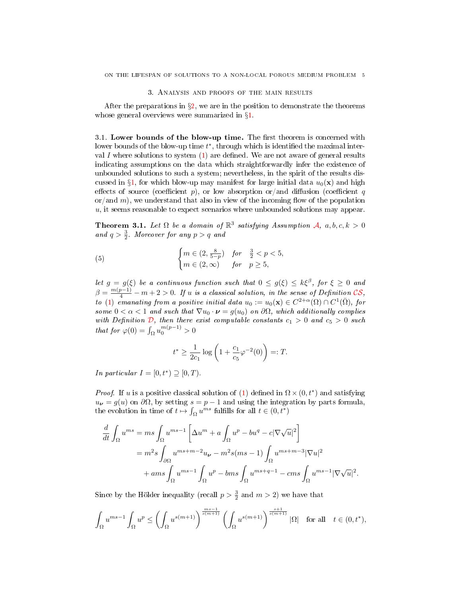### 3. Analysis and proofs of the main results

<span id="page-4-0"></span>After the preparations in  $\S2$ , we are in the position to demonstrate the theorems whose general overviews were summarized in §[1.](#page-0-2)

 $3.1.$  Lower bounds of the blow-up time. The first theorem is concerned with lower bounds of the blow-up time  $t^*$ , through which is identified the maximal interval I where solutions to system  $(1)$  are defined. We are not aware of general results indicating assumptions on the data which straightforwardly infer the existence of unbounded solutions to such a system; nevertheless, in the spirit of the results dis-cussed in §[1](#page-0-2), for which blow-up may manifest for large initial data  $u_0(\mathbf{x})$  and high effects of source (coefficient p), or low absorption or/and diffusion (coefficient q or/and m), we understand that also in view of the incoming flow of the population  $u$ , it seems reasonable to expect scenarios where unbounded solutions may appear.

<span id="page-4-1"></span>**Theorem 3.1.** Let  $\Omega$  be a domain of  $\mathbb{R}^3$  satisfying [A](#page-3-2)ssumption A,  $a, b, c, k > 0$ and  $q > \frac{3}{2}$ . Moreover for any  $p > q$  and

(5) 
$$
\begin{cases} m \in (2, \frac{8}{5-p}) & \text{for } \frac{3}{2} < p < 5, \\ m \in (2, \infty) & \text{for } p \ge 5, \end{cases}
$$

let  $g = g(\xi)$  be a continuous function such that  $0 \leq g(\xi) \leq k\xi^{\beta}$ , for  $\xi \geq 0$  and  $\beta = \frac{m(p-1)}{4} - m + 2 > 0$ . If u is a classical solution, in the sense of Definition [CS](#page-3-0), to [\(1\)](#page-0-1) emanating from a positive initial data  $u_0 := u_0(\mathbf{x}) \in C^{2+\alpha}(\Omega) \cap C^1(\overline{\Omega}),$  for some  $0 < \alpha < 1$  and such that  $\nabla u_0 \cdot \boldsymbol{\nu} = g(u_0)$  on  $\partial \Omega$ , which additionally complies with [D](#page-3-3)efinition  $\mathcal{D}$ , then there exist computable constants  $c_1 > 0$  and  $c_5 > 0$  such that for  $\varphi(0) = \int_{\Omega} u_0^{m(p-1)} > 0$ 

$$
t^* \ge \frac{1}{2c_1} \log \left( 1 + \frac{c_1}{c_5} \varphi^{-2}(0) \right) =: T.
$$

In particular  $I = [0, t^*) \supseteq [0, T)$ .

*Proof.* If u is a positive classical solution of [\(1\)](#page-0-1) defined in  $\Omega \times (0, t^*)$  and satisfying  $u_{\nu} = g(u)$  on  $\partial \Omega$ , by setting  $s = p - 1$  and using the integration by parts formula, the evolution in time of  $t \mapsto \int_{\Omega} u^{ms}$  fulfills for all  $t \in (0, t^*)$ 

$$
\frac{d}{dt} \int_{\Omega} u^{ms} = ms \int_{\Omega} u^{ms-1} \left[ \Delta u^m + a \int_{\Omega} u^p - bu^q - c |\nabla \sqrt{u}|^2 \right]
$$

$$
= m^2 s \int_{\partial \Omega} u^{ms+m-2} u_{\nu} - m^2 s (ms-1) \int_{\Omega} u^{ms+m-3} |\nabla u|^2
$$

$$
+ a ms \int_{\Omega} u^{ms-1} \int_{\Omega} u^p - b ms \int_{\Omega} u^{ms+q-1} - cms \int_{\Omega} u^{ms-1} |\nabla \sqrt{u}|^2.
$$

Since by the Hölder inequality (recall  $p > \frac{3}{2}$  and  $m > 2$ ) we have that

$$
\int_{\Omega} u^{ms-1} \int_{\Omega} u^p \le \left( \int_{\Omega} u^{s(m+1)} \right)^{\frac{ms-1}{s(m+1)}} \left( \int_{\Omega} u^{s(m+1)} \right)^{\frac{s+1}{s(m+1)}} |\Omega| \quad \text{for all} \quad t \in (0, t^*),
$$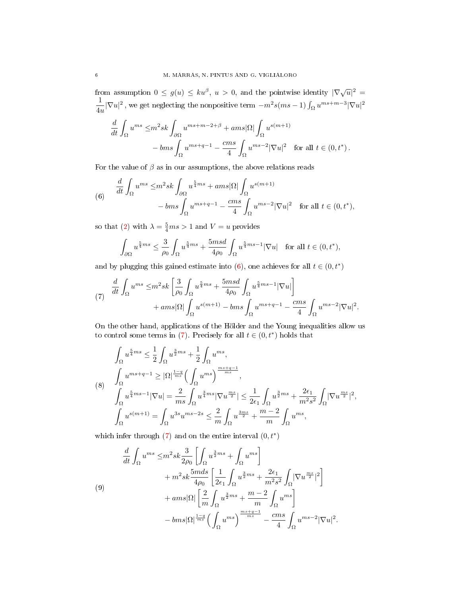from assumption  $0 \le g(u) \le ku^{\beta}$ ,  $u > 0$ , and the pointwise identity  $|\nabla \sqrt{u}|^2 =$ 1  $\frac{1}{4u}|\nabla u|^2$ , we get neglecting the nonpositive term  $-m^2s(ms-1)\int_{\Omega}u^{ms+m-3}|\nabla u|^2$ 

$$
\frac{d}{dt} \int_{\Omega} u^{ms} \leq m^2 s k \int_{\partial \Omega} u^{ms+m-2+\beta} + ams |\Omega| \int_{\Omega} u^{s(m+1)} \n-bms \int_{\Omega} u^{ms+q-1} - \frac{cm s}{4} \int_{\Omega} u^{ms-2} |\nabla u|^2 \quad \text{for all } t \in (0, t^*).
$$

For the value of  $\beta$  as in our assumptions, the above relations reads

<span id="page-5-0"></span>(6) 
$$
\frac{d}{dt} \int_{\Omega} u^{ms} \leq m^2 s k \int_{\partial \Omega} u^{\frac{5}{4}ms} + a ms |\Omega| \int_{\Omega} u^{s(m+1)} -b ms \int_{\Omega} u^{ms+q-1} - \frac{cm s}{4} \int_{\Omega} u^{ms-2} |\nabla u|^2 \text{ for all } t \in (0, t^*),
$$

so that [\(2\)](#page-3-4) with  $\lambda = \frac{5}{4}ms > 1$  and  $V = u$  provides

$$
\int_{\partial\Omega} u^{\frac{5}{4}ms} \leq \frac{3}{\rho_0} \int_{\Omega} u^{\frac{5}{4}ms} + \frac{5msd}{4\rho_0} \int_{\Omega} u^{\frac{5}{4}ms-1} |\nabla u| \quad \text{for all } t \in (0, t^*),
$$

and by plugging this gained estimate into  $(6)$ , one achieves for all  $t \in (0, t^*)$ 

<span id="page-5-1"></span>
$$
\frac{d}{dt} \int_{\Omega} u^{ms} \leq m^2 s k \left[ \frac{3}{\rho_0} \int_{\Omega} u^{\frac{5}{4}ms} + \frac{5msd}{4\rho_0} \int_{\Omega} u^{\frac{5}{4}ms - 1} |\nabla u| \right] + ams |\Omega| \int_{\Omega} u^{s(m+1)} - bms \int_{\Omega} u^{ms+q-1} - \frac{cms}{4} \int_{\Omega} u^{ms-2} |\nabla u|^2.
$$

On the other hand, applications of the Hölder and the Young inequalities allow us to control some terms in [\(7\)](#page-5-1). Precisely for all  $t \in (0, t^*)$  holds that

<span id="page-5-3"></span>
$$
\int_{\Omega} u^{\frac{5}{4}ms} \leq \frac{1}{2} \int_{\Omega} u^{\frac{3}{2}ms} + \frac{1}{2} \int_{\Omega} u^{ms},
$$
\n
$$
\int_{\Omega} u^{ms+q-1} \geq |\Omega|^{\frac{1-q}{ms}} \Big( \int_{\Omega} u^{ms} \Big)^{\frac{ms+q-1}{ms}},
$$
\n
$$
\int_{\Omega} u^{\frac{5}{4}ms-1} |\nabla u| = \frac{2}{ms} \int_{\Omega} u^{\frac{3}{4}ms} |\nabla u^{\frac{ms}{2}}| \leq \frac{1}{2\epsilon_1} \int_{\Omega} u^{\frac{3}{2}ms} + \frac{2\epsilon_1}{m^2 s^2} \int_{\Omega} |\nabla u^{\frac{ms}{2}}|^2,
$$
\n
$$
\int_{\Omega} u^{s(m+1)} = \int_{\Omega} u^{3s} u^{ms-2s} \leq \frac{2}{m} \int_{\Omega} u^{\frac{3ms}{2}} + \frac{m-2}{m} \int_{\Omega} u^{ms},
$$

which infer through  $(7)$  and on the entire interval  $(0, t^*)$ 

<span id="page-5-2"></span>
$$
\frac{d}{dt} \int_{\Omega} u^{ms} \leq m^2 s k \frac{3}{2\rho_0} \left[ \int_{\Omega} u^{\frac{3}{2}ms} + \int_{\Omega} u^{ms} \right] \n+ m^2 s k \frac{5m ds}{4\rho_0} \left[ \frac{1}{2\epsilon_1} \int_{\Omega} u^{\frac{3}{2}ms} + \frac{2\epsilon_1}{m^2 s^2} \int_{\Omega} |\nabla u^{\frac{ms}{2}}|^2 \right] \n+ ams |\Omega| \left[ \frac{2}{m} \int_{\Omega} u^{\frac{3}{2}ms} + \frac{m-2}{m} \int_{\Omega} u^{ms} \right] \n- bms |\Omega|^{\frac{1-q}{ms}} \left( \int_{\Omega} u^{ms} \right)^{\frac{ms+q-1}{ms}} - \frac{cms}{4} \int_{\Omega} u^{ms-2} |\nabla u|^2.
$$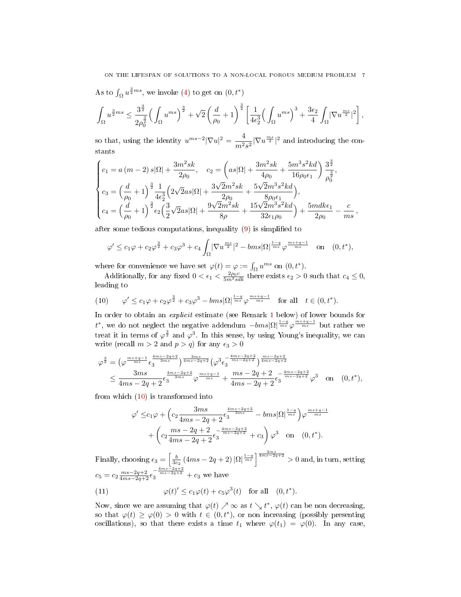As to  $\int_{\Omega} u^{\frac{3}{2}ms}$ , we invoke [\(4\)](#page-3-5) to get on  $(0, t^*)$ 

$$
\int_{\Omega} u^{\frac{3}{2}ms} \leq \frac{3^{\frac{3}{2}}}{2\rho_0^{\frac{3}{2}}} \Big(\int_{\Omega} u^{ms}\Big)^{\frac{3}{2}} + \sqrt{2}\left(\frac{d}{\rho_0} + 1\right)^{\frac{3}{2}} \left[\frac{1}{4\epsilon_2^3} \Big(\int_{\Omega} u^{ms}\Big)^3 + \frac{3\epsilon_2}{4} \int_{\Omega} \lvert \nabla u^{\frac{ms}{2}}\rvert^2\right],
$$

so that, using the identity  $u^{ms-2}|\nabla u|^2 = -\frac{4}{3}$  $\frac{4}{m^2s^2}|\nabla u^{\frac{ms}{2}}|^2$  and introducing the constants

$$
\begin{cases}\nc_1 = a (m-2) s |\Omega| + \frac{3m^2 s k}{2\rho_0}, & c_2 = \left(as |\Omega| + \frac{3m^2 s k}{4\rho_0} + \frac{5m^3 s^2 k d}{16\rho_0 \epsilon_1}\right) \frac{3^{\frac{3}{2}}}{\rho_0^{\frac{3}{2}}}, \\
c_3 = \left(\frac{d}{\rho_0} + 1\right)^{\frac{3}{2}} \frac{1}{4\epsilon_2^3} \left(2\sqrt{2}as |\Omega| + \frac{3\sqrt{2}m^2 s k}{2\rho_0} + \frac{5\sqrt{2}m^3 s^2 k d}{8\rho_0 \epsilon_1}\right), \\
c_4 = \left(\frac{d}{\rho_0} + 1\right)^{\frac{3}{2}} \epsilon_2 \left(\frac{3}{2}\sqrt{2}as |\Omega| + \frac{9\sqrt{2}m^2 s k}{8\rho} + \frac{15\sqrt{2}m^3 s^2 k d}{32\epsilon_1 \rho_0}\right) + \frac{5mdk\epsilon_1}{2\rho_0} - \frac{c}{ms}\n\end{cases}
$$

after some tedious computations, inequality  $(9)$  is simplified to

$$
\varphi' \le c_1 \varphi + c_2 \varphi^{\frac{3}{2}} + c_3 \varphi^3 + c_4 \int_{\Omega} |\nabla u^{\frac{ms}{2}}|^2 - bms |\Omega|^{\frac{1-q}{ms}} \varphi^{\frac{ms+q-1}{ms}} \quad \text{on} \quad (0, t^*),
$$

where for convenience we have set  $\varphi(t) = \varphi := \int_{\Omega} u^{ms}$  on  $(0, t^*)$ .

Additionally, for any fixed  $0 < \epsilon_1 < \frac{2\rho_0 c}{5m^2 s dk}$  there exists  $\epsilon_2 > 0$  such that  $c_4 \leq 0$ , leading to

<span id="page-6-0"></span>(10) 
$$
\varphi' \leq c_1 \varphi + c_2 \varphi^{\frac{3}{2}} + c_3 \varphi^3 - bms |\Omega|^{\frac{1-q}{ms}} \varphi^{\frac{ms+q-1}{ms}} \text{ for all } t \in (0, t^*).
$$

In order to obtain an explicit estimate (see Remark [1](#page-7-1) below) of lower bounds for t<sup>\*</sup>, we do not neglect the negative addendum  $-bms|\Omega|^{\frac{1-q}{ms}}\varphi^{\frac{ms+q-1}{ms}}$  but rather we treat it in terms of  $\varphi^{\frac{3}{2}}$  and  $\varphi^3$ . In this sense, by using Young's inequality, we can write (recall  $m > 2$  and  $p > q$ ) for any  $\epsilon_3 > 0$ 

$$
\varphi^{\frac{3}{2}} = \left(\varphi^{\frac{ms+q-1}{ms}} \epsilon_3^{\frac{4ms-2q+2}{3ms}}\right)^{\frac{3ms}{4ms-2q+2}} \left(\varphi^3 \epsilon_3^{-\frac{4ms-2q+2}{ms-2q+2}}\right)^{\frac{ms-2q+2}{4ms-2q+2}}
$$
  

$$
\leq \frac{3ms}{4ms - 2q + 2} \epsilon_3^{\frac{4ms - 2q+2}{3ms}} \varphi^{\frac{ms+q-1}{ms}} + \frac{ms - 2q + 2}{4ms - 2q + 2} \epsilon_3^{-\frac{4ms - 2q+2}{ms-2q+2}} \varphi^3 \quad \text{on} \quad (0, t^*),
$$

from which  $(10)$  is transformed into

$$
\varphi' \leq c_1 \varphi + \left(c_2 \frac{3ms}{4ms - 2q + 2} \epsilon_3^{\frac{4ms - 2q + 2}{3ms}} - bms|\Omega|^{\frac{1-q}{ms}}\right) \varphi^{\frac{ms + q - 1}{ms}} + \left(c_2 \frac{ms - 2q + 2}{4ms - 2q + 2} \epsilon_3^{-\frac{4ms - 2q + 2}{ms - 2q + 2}} + c_3\right) \varphi^3
$$
 on  $(0, t^*).$ 

Finally, choosing  $\epsilon_3 = \left[\frac{b}{3c_2}(4ms - 2q + 2)\right]\Omega\left|\frac{1-q}{ms}\right|^{\frac{3ms}{4ms-2q+2}} > 0$  and, in turn, setting  $c_5 = c_2 \frac{ms - 2q + 2}{4ms - 2q + 2} \epsilon_3^{-\frac{4ms - 2q + 2}{ms - 2q + 2}} + c_3$  we have (11)  $\varphi(t)' \leq c_1 \varphi(t) + c_5 \varphi^3(t)$  for all  $(0, t^*)$ .

<span id="page-6-1"></span>Now, since we are assuming that  $\varphi(t) \nearrow \infty$  as  $t \searrow t^*$ ,  $\varphi(t)$  can be non decreasing, so that  $\varphi(t) \geq \varphi(0) > 0$  with  $t \in (0, t^*)$ , or non increasing (possibly presenting oscillations), so that there exists a time  $t_1$  where  $\varphi(t_1) = \varphi(0)$ . In any case,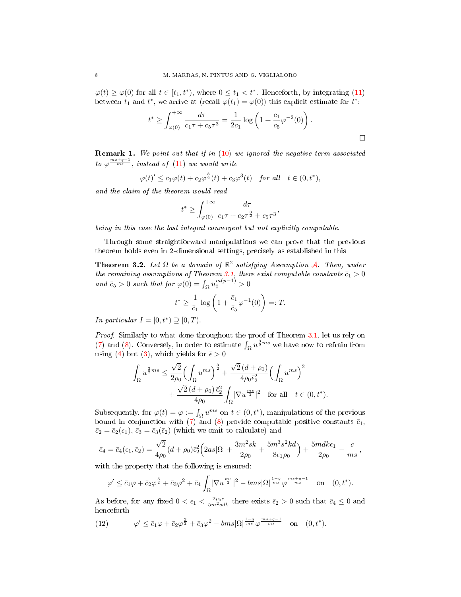$\varphi(t) \geq \varphi(0)$  for all  $t \in [t_1, t^*),$  where  $0 \leq t_1 < t^*$ . Henceforth, by integrating [\(11\)](#page-6-1) between  $t_1$  and  $t^*$ , we arrive at (recall  $\varphi(t_1) = \varphi(0)$ ) this explicit estimate for  $t^*$ :

$$
t^* \ge \int_{\varphi(0)}^{+\infty} \frac{d\tau}{c_1\tau + c_5\tau^3} = \frac{1}{2c_1} \log \left( 1 + \frac{c_1}{c_5} \varphi^{-2}(0) \right).
$$

<span id="page-7-1"></span>Remark 1. We point out that if in [\(10\)](#page-6-0) we ignored the negative term associated to  $\varphi \frac{m s + q - 1}{m s}$ , instead of [\(11\)](#page-6-1) we would write

$$
\varphi(t)' \le c_1 \varphi(t) + c_2 \varphi^{\frac{3}{2}}(t) + c_3 \varphi^3(t) \quad \text{for all} \quad t \in (0, t^*),
$$

and the claim of the theorem would read

$$
t^* \geq \int_{\varphi(0)}^{+\infty} \frac{d\tau}{c_1 \tau + c_2 \tau^{\frac{3}{2}} + c_5 \tau^3},
$$

being in this case the last integral convergent but not explicitly computable.

Through some straightforward manipulations we can prove that the previous theorem holds even in 2-dimensional settings, precisely as established in this

<span id="page-7-0"></span>**Theorem 3.2.** Let  $\Omega$  be a domain of  $\mathbb{R}^2$  satisfying [A](#page-3-2)ssumption A. Then, under the remaining assumptions of Theorem [3.1,](#page-4-1) there exist computable constants  $\bar{c}_1 > 0$ and  $\bar{c}_5 > 0$  such that for  $\varphi(0) = \int_{\Omega} u_0^{m(p-1)} > 0$ 

$$
t^* \ge \frac{1}{\bar{c}_1} \log \left( 1 + \frac{\bar{c}_1}{\bar{c}_5} \varphi^{-1}(0) \right) =: T.
$$

In particular  $I = [0, t^*) \supseteq [0, T)$ .

Proof. Similarly to what done throughout the proof of Theorem [3.1,](#page-4-1) let us rely on [\(7\)](#page-5-1) and [\(8\)](#page-5-3). Conversely, in order to estimate  $\int_{\Omega} u^{\frac{3}{2}ms}$  we have now to refrain from using [\(4\)](#page-3-5) but [\(3\)](#page-3-6), which yields for  $\bar{\epsilon} > 0$ 

$$
\int_{\Omega} u^{\frac{3}{2}ms} \leq \frac{\sqrt{2}}{2\rho_0} \Big( \int_{\Omega} u^{ms} \Big)^{\frac{3}{2}} + \frac{\sqrt{2} (d + \rho_0)}{4\rho_0 \bar{\epsilon}_2^2} \Big( \int_{\Omega} u^{ms} \Big)^2 \n+ \frac{\sqrt{2} (d + \rho_0) \, \bar{\epsilon}_2^2}{4\rho_0} \int_{\Omega} |\nabla u^{\frac{ms}{2}}|^2 \quad \text{for all} \quad t \in (0, t^*).
$$

Subsequently, for  $\varphi(t) = \varphi := \int_{\Omega} u^{ms}$  on  $t \in (0, t^*)$ , manipulations of the previous bound in conjunction with [\(7\)](#page-5-1) and [\(8\)](#page-5-3) provide computable positive constants  $\bar{c}_1$ ,  $\bar{c}_2 = \bar{c}_2(\epsilon_1), \bar{c}_3 = \bar{c}_3(\bar{\epsilon}_2)$  (which we omit to calculate) and

$$
\bar{c}_4 = \bar{c}_4(\epsilon_1, \bar{\epsilon}_2) = \frac{\sqrt{2}}{4\rho_0} (d + \rho_0) \bar{\epsilon}_2^2 \Big( 2as|\Omega| + \frac{3m^2sk}{2\rho_0} + \frac{5m^3s^2kd}{8\epsilon_1\rho_0} \Big) + \frac{5mdk\epsilon_1}{2\rho_0} - \frac{c}{ms},
$$

with the property that the following is ensured:

$$
\varphi' \le \bar{c}_1 \varphi + \bar{c}_2 \varphi^{\frac{3}{2}} + \bar{c}_3 \varphi^2 + \bar{c}_4 \int_{\Omega} |\nabla u^{\frac{ms}{2}}|^2 - bms |\Omega|^{\frac{1-q}{ms}} \varphi^{\frac{ms+q-1}{ms}} \quad \text{on} \quad (0, t^*).
$$

As before, for any fixed  $0 < \epsilon_1 < \frac{2\rho_0 c}{5m^2 s dk}$  there exists  $\bar{\epsilon}_2 > 0$  such that  $\bar{c}_4 \leq 0$  and henceforth

<span id="page-7-2"></span>(12) 
$$
\varphi' \leq \bar{c}_1 \varphi + \bar{c}_2 \varphi^{\frac{3}{2}} + \bar{c}_3 \varphi^2 - bms |\Omega|^{\frac{1-q}{ms}} \varphi^{\frac{ms+q-1}{ms}} \quad \text{on} \quad (0, t^*).
$$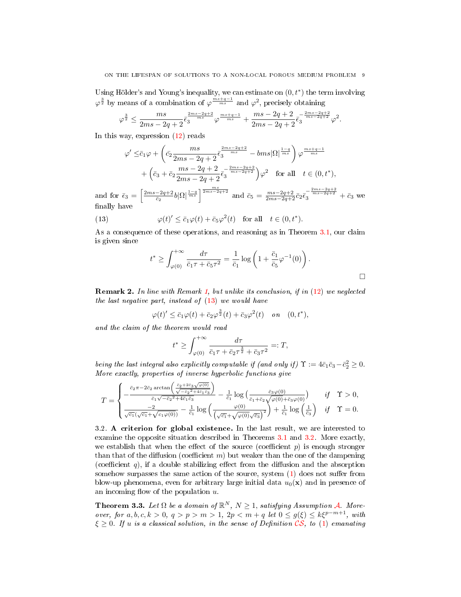Using Hölder's and Young's inequality, we can estimate on  $(0, t^*)$  the term involving  $\varphi^{\frac{3}{2}}$  by means of a combination of  $\varphi^{\frac{ms+q-1}{ms}}$  and  $\varphi^2$ , precisely obtaining

$$
\varphi^{\frac{3}{2}} \leq \frac{ms}{2ms-2q+2} \bar{\epsilon}_3^{\frac{2ms-2q+2}{ms}} \varphi^{\frac{ms+q-1}{ms}} + \frac{ms-2q+2}{2ms-2q+2} \bar{\epsilon}_3^{-\frac{2ms-2q+2}{ms-2q+2}} \varphi^2.
$$

In this way, expression  $(12)$  reads

$$
\varphi' \leq \bar{c}_1 \varphi + \left( \bar{c}_2 \frac{ms}{2ms - 2q + 2} \bar{\epsilon}_3^{\frac{2ms - 2q + 2}{ms}} - bms |\Omega|^{\frac{1-q}{ms}} \right) \varphi^{\frac{ms + q - 1}{ms}} + \left( \bar{c}_3 + \bar{c}_2 \frac{ms - 2q + 2}{2ms - 2q + 2} \bar{\epsilon}_3^{-\frac{2ms - 2q + 2}{ms - 2q + 2}} \right) \varphi^2 \quad \text{for all} \quad t \in (0, t^*),
$$

and for  $\bar{\epsilon}_3 = \left[\frac{2ms-2q+2}{\bar{c}_2}b|\Omega|^{\frac{1-q}{ms}}\right]^{\frac{ms}{2ms-2q+2}}$  and  $\bar{c}_5 = \frac{ms-2q+2}{2ms-2q+2}\bar{c}_2\bar{\epsilon}_3^{-\frac{2ms-2q+2}{ms-2q+2}} + \bar{c}_3$  we finally have

(13) 
$$
\varphi(t)' \leq \bar{c}_1 \varphi(t) + \bar{c}_5 \varphi^2(t) \quad \text{for all} \quad t \in (0, t^*).
$$

As a consequence of these operations, and reasoning as in Theorem [3.1,](#page-4-1) our claim is given since

<span id="page-8-1"></span>
$$
t^* \ge \int_{\varphi(0)}^{+\infty} \frac{d\tau}{\bar{c}_1 \tau + \bar{c}_5 \tau^2} = \frac{1}{\bar{c}_1} \log \left( 1 + \frac{\bar{c}_1}{\bar{c}_5} \varphi^{-1}(0) \right).
$$

Remark 2. In line with Remark [1,](#page-7-1) but unlike its conclusion, if in [\(12\)](#page-7-2) we neglected the last negative part, instead of [\(13\)](#page-8-1) we would have

$$
\varphi(t) \leq \bar{c}_1 \varphi(t) + \bar{c}_2 \varphi^{\frac{3}{2}}(t) + \bar{c}_3 \varphi^2(t) \quad on \quad (0, t^*),
$$

and the claim of the theorem would read

$$
t^* \ge \int_{\varphi(0)}^{+\infty} \frac{d\tau}{\bar{c}_1 \tau + \bar{c}_2 \tau^{\frac{3}{2}} + \bar{c}_3 \tau^2} =: T,
$$

being the last integral also explicitly computable if (and only if)  $\Upsilon := 4\bar{c}_1\bar{c}_3 - \bar{c}_2^2 \geq 0$ . More exactly, properties of inverse hyperbolic functions give

$$
T=\begin{cases} -\frac{\bar{c}_2\pi-2\bar{c}_2\arctan\left(\frac{\bar{c}_2+2\bar{c}_3\sqrt{\varphi(0)}}{\sqrt{-\bar{c}_2^2+4\bar{c}_1\bar{c}_3}}\right)}{\bar{c}_1\sqrt{-\bar{c}_2^2+4\bar{c}_1\bar{c}_3}}-\frac{1}{\bar{c}_1}\log\left(\frac{\bar{c}_3\varphi(0)}{\bar{c}_1+\bar{c}_2\sqrt{\varphi(0)}+\bar{c}_3\varphi(0)}\right) & \text{ if } \Upsilon>0,\\ \frac{-2}{\sqrt{c_1}(\sqrt{c_1}+\sqrt{c_1\varphi(0)})}-\frac{1}{\bar{c}_1}\log\left(\frac{\varphi(0)}{\sqrt{\bar{c}_1}+\sqrt{\varphi(0)}\sqrt{\bar{c}_3}}\right)^2\right)+\frac{1}{\bar{c}_1}\log\left(\frac{1}{\bar{c}_3}\right) & \text{ if } \Upsilon=0. \end{cases}
$$

3.2. A criterion for global existence. In the last result, we are interested to examine the opposite situation described in Theorems [3.1](#page-4-1) and [3.2.](#page-7-0) More exactly, we establish that when the effect of the source (coefficient  $p$ ) is enough stronger than that of the diffusion (coefficient m) but weaker than the one of the dampening (coefficient  $q$ ), if a double stabilizing effect from the diffusion and the absorption somehow surpasses the same action of the source, system  $(1)$  does not suffer from blow-up phenomena, even for arbitrary large initial data  $u_0(\mathbf{x})$  and in presence of an incoming flow of the population  $u$ .

<span id="page-8-0"></span>**Theorem 3.3.** Let  $\Omega$  be a domain of  $\mathbb{R}^N$ ,  $N \geq 1$ , satisfying [A](#page-3-2)ssumption A. Moreover, for  $a, b, c, k > 0, q > p > m > 1, 2p < m + q$  let  $0 \le g(\xi) \le k\xi^{p-m+1}$ , with  $\xi \geq 0$ . If u is a classical solution, in the sense of Definition [CS](#page-3-0), to [\(1\)](#page-0-1) emanating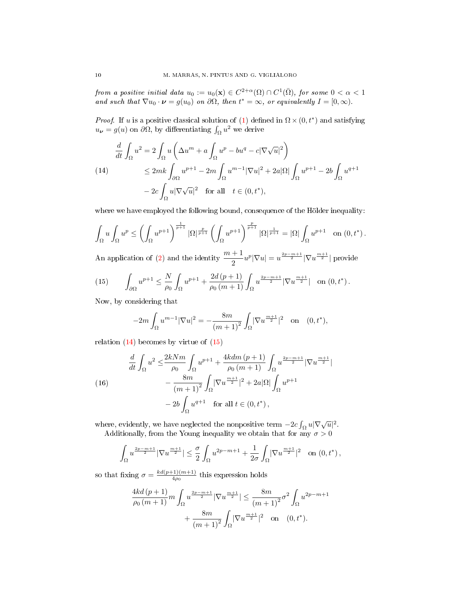from a positive initial data  $u_0 := u_0(\mathbf{x}) \in C^{2+\alpha}(\Omega) \cap C^1(\bar{\Omega}),$  for some  $0 < \alpha < 1$ and such that  $\nabla u_0 \cdot \boldsymbol{\nu} = g(u_0)$  on  $\partial \Omega$ , then  $t^* = \infty$ , or equivalently  $I = [0, \infty)$ .

*Proof.* If u is a positive classical solution of [\(1\)](#page-0-1) defined in  $\Omega \times (0, t^*)$  and satisfying  $u_{\nu} = g(u)$  on  $\partial \Omega$ , by differentiating  $\int_{\Omega} u^2$  we derive

<span id="page-9-0"></span>
$$
\frac{d}{dt} \int_{\Omega} u^2 = 2 \int_{\Omega} u \left( \Delta u^m + a \int_{\Omega} u^p - bu^q - c |\nabla \sqrt{u}|^2 \right)
$$
\n
$$
\leq 2mk \int_{\partial \Omega} u^{p+1} - 2m \int_{\Omega} u^{m-1} |\nabla u|^2 + 2a |\Omega| \int_{\Omega} u^{p+1} - 2b \int_{\Omega} u^{q+1}
$$
\n
$$
- 2c \int_{\Omega} u |\nabla \sqrt{u}|^2 \quad \text{for all} \quad t \in (0, t^*),
$$

where we have employed the following bound, consequence of the Hölder inequality:

$$
\int_{\Omega} u \int_{\Omega} u^p \le \left( \int_{\Omega} u^{p+1} \right)^{\frac{1}{p+1}} |\Omega|^{\frac{p}{p+1}} \left( \int_{\Omega} u^{p+1} \right)^{\frac{p}{p+1}} |\Omega|^{\frac{1}{p+1}} = |\Omega| \int_{\Omega} u^{p+1} \quad \text{on } (0, t^*) .
$$

An application of [\(2\)](#page-3-4) and the identity  $\frac{m+1}{2}u^p|\nabla u|=u^{\frac{2p-m+1}{2}}|\nabla u^{\frac{m+1}{2}}|$  provide

<span id="page-9-1"></span>(15) 
$$
\int_{\partial\Omega} u^{p+1} \leq \frac{N}{\rho_0} \int_{\Omega} u^{p+1} + \frac{2d(p+1)}{\rho_0(m+1)} \int_{\Omega} u^{\frac{2p-m+1}{2}} |\nabla u^{\frac{m+1}{2}}| \text{ on } (0, t^*) .
$$

Now, by considering that

$$
-2m\int_{\Omega} u^{m-1} |\nabla u|^2 = -\frac{8m}{(m+1)^2} \int_{\Omega} |\nabla u^{\frac{m+1}{2}}|^2 \quad \text{on} \quad (0, t^*),
$$

relation  $(14)$  becomes by virtue of  $(15)$ 

<span id="page-9-2"></span>(16) 
$$
\frac{d}{dt} \int_{\Omega} u^2 \le \frac{2kNm}{\rho_0} \int_{\Omega} u^{p+1} + \frac{4kdm (p+1)}{\rho_0 (m+1)} \int_{\Omega} u^{\frac{2p-m+1}{2}} |\nabla u^{\frac{m+1}{2}}| \n- \frac{8m}{(m+1)^2} \int_{\Omega} |\nabla u^{\frac{m+1}{2}}|^2 + 2a|\Omega| \int_{\Omega} u^{p+1} \n- 2b \int_{\Omega} u^{q+1} \quad \text{for all } t \in (0, t^*),
$$

where, evidently, we have neglected the nonpositive term  $-2c \int_{\Omega} u |\nabla \sqrt{u}|^2$ . Additionally, from the Young inequality we obtain that for any  $\sigma > 0$ 

$$
\int_\Omega u^{\frac{2p-m+1}{2}}|\nabla u^{\frac{m+1}{2}}|\leq \frac{\sigma}{2}\int_\Omega u^{2p-m+1}+\frac{1}{2\sigma}\int_\Omega|\nabla u^{\frac{m+1}{2}}|^2\quad\text{on }(0,t^*)\,,
$$

so that fixing  $\sigma = \frac{kd(p+1)(m+1)}{4\rho_0}$  $\frac{(-1)(m+1)}{4\rho_0}$  this expression holds

$$
\frac{4kd\left(p+1\right)}{\rho_0\left(m+1\right)}m\int_{\Omega}u^{\frac{2p-m+1}{2}}|\nabla u^{\frac{m+1}{2}}|\leq\frac{8m}{\left(m+1\right)^2}\sigma^2\int_{\Omega}u^{2p-m+1}\\\quad+\frac{8m}{\left(m+1\right)^2}\int_{\Omega}|\nabla u^{\frac{m+1}{2}}|^2\quad\text{on}\quad(0,t^*).
$$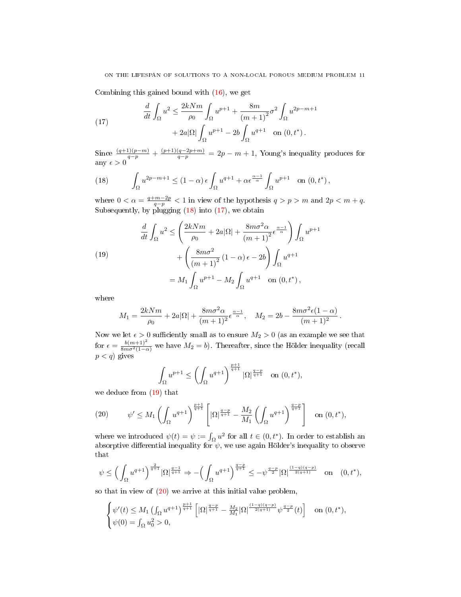Combining this gained bound with [\(16\)](#page-9-2), we get

<span id="page-10-1"></span>(17) 
$$
\frac{d}{dt} \int_{\Omega} u^2 \le \frac{2kNm}{\rho_0} \int_{\Omega} u^{p+1} + \frac{8m}{(m+1)^2} \sigma^2 \int_{\Omega} u^{2p-m+1} + 2a|\Omega| \int_{\Omega} u^{p+1} - 2b \int_{\Omega} u^{q+1} \quad \text{on } (0, t^*) .
$$

Since  $\frac{(q+1)(p-m)}{q-p} + \frac{(p+1)(q-2p+m)}{q-p} = 2p-m+1$ , Young's inequality produces for any  $\epsilon > 0$ 

<span id="page-10-0"></span>(18) 
$$
\int_{\Omega} u^{2p-m+1} \le (1-\alpha) \epsilon \int_{\Omega} u^{q+1} + \alpha \epsilon^{\frac{\alpha-1}{\alpha}} \int_{\Omega} u^{p+1} \text{ on } (0, t^*),
$$

where  $0 < \alpha = \frac{q+m-2p}{q-p} < 1$  in view of the hypothesis  $q > p > m$  and  $2p < m+q$ . Subsequently, by plugging  $(18)$  into  $(17)$ , we obtain

<span id="page-10-2"></span>(19)  
\n
$$
\frac{d}{dt} \int_{\Omega} u^2 \le \left( \frac{2kNm}{\rho_0} + 2a|\Omega| + \frac{8m\sigma^2 \alpha}{(m+1)^2} \epsilon^{\frac{\alpha-1}{\alpha}} \right) \int_{\Omega} u^{p+1} + \left( \frac{8m\sigma^2}{(m+1)^2} (1-\alpha)\epsilon - 2b \right) \int_{\Omega} u^{q+1} = M_1 \int_{\Omega} u^{p+1} - M_2 \int_{\Omega} u^{q+1} \quad \text{on } (0, t^*),
$$

where

$$
M_1 = \frac{2kNm}{\rho_0} + 2a|\Omega| + \frac{8m\sigma^2\alpha}{(m+1)^2} \epsilon^{\frac{\alpha-1}{\alpha}}, \quad M_2 = 2b - \frac{8m\sigma^2\epsilon(1-\alpha)}{(m+1)^2}.
$$

Now we let  $\epsilon > 0$  sufficiently small as to ensure  $M_2 > 0$  (as an example we see that for  $\epsilon = \frac{b(m+1)^2}{8m\sigma^2(1-\alpha)}$  we have  $M_2 = b$ ). Thereafter, since the Hölder inequality (recall  $p < q$ ) gives

$$
\int_{\Omega} u^{p+1} \le \left( \int_{\Omega} u^{q+1} \right)^{\frac{p+1}{q+1}} |\Omega|^{\frac{q-p}{q+1}} \quad \text{on } (0, t^*),
$$

we deduce from  $(19)$  that

<span id="page-10-3"></span>(20) 
$$
\psi' \le M_1 \left( \int_{\Omega} u^{q+1} \right)^{\frac{p+1}{q+1}} \left[ |\Omega|^{\frac{q-p}{q+1}} - \frac{M_2}{M_1} \left( \int_{\Omega} u^{q+1} \right)^{\frac{q-p}{q+1}} \right] \text{ on } (0, t^*),
$$

where we introduced  $\psi(t) = \psi := \int_{\Omega} u^2$  for all  $t \in (0, t^*)$ . In order to establish an absorptive differential inequality for  $\psi$ , we use again Hölder's inequality to observe that

$$
\psi \le \left(\int_{\Omega} u^{q+1}\right)^{\frac{2}{q+1}} |\Omega|^{\frac{q-1}{q+1}} \Rightarrow -\left(\int_{\Omega} u^{q+1}\right)^{\frac{q-p}{q+1}} \le -\psi^{\frac{q-p}{2}} |\Omega|^{\frac{(1-q)(q-p)}{2(q+1)}} \quad \text{on} \quad (0, t^*),
$$

so that in view of [\(20\)](#page-10-3) we arrive at this initial value problem,

$$
\begin{cases} \psi'(t) \leq M_1 \left( \int_{\Omega} u^{q+1} \right)^{\frac{p+1}{q+1}} \left[ |\Omega|^{\frac{q-p}{q+1}} - \frac{M_2}{M_1} |\Omega|^{\frac{(1-q)(q-p)}{2(q+1)}} \psi^{\frac{q-p}{2}}(t) \right] & \text{on } (0, t^*), \\ \psi(0) = \int_{\Omega} u_0^2 > 0, \end{cases}
$$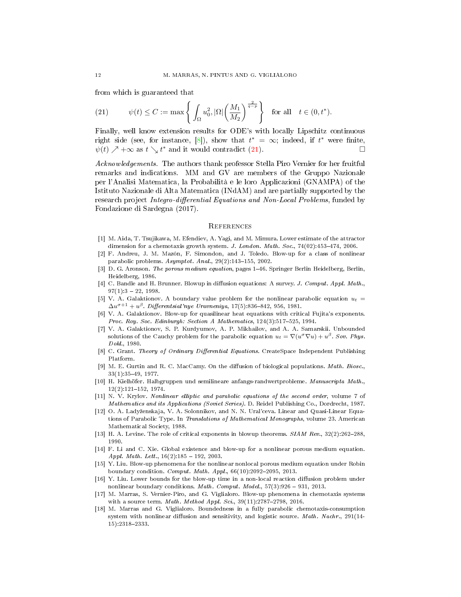from which is guaranteed that

<span id="page-11-18"></span>(21) 
$$
\psi(t) \leq C := \max \left\{ \int_{\Omega} u_0^2, |\Omega| \left( \frac{M_1}{M_2} \right)^{\frac{2}{q-p}} \right\} \text{ for all } t \in (0, t^*).
$$

Finally, well know extension results for ODE's with locally Lipschitz continuous right side (see, for instance, [\[8\]](#page-11-17)), show that  $t^* = \infty$ ; indeed, if  $t^*$  were finite,  $\psi(t) \nearrow +\infty$  as  $t \searrow t^*$  and it would contradict [\(21\)](#page-11-18).

Acknowledgements. The authors thank professor Stella Piro Vernier for her fruitful remarks and indications. MM and GV are members of the Gruppo Nazionale per l'Analisi Matematica, la Probabilità e le loro Applicazioni (GNAMPA) of the Istituto Nazionale di Alta Matematica (INdAM) and are partially supported by the research project Integro-differential Equations and Non-Local Problems, funded by Fondazione di Sardegna (2017).

#### **REFERENCES**

- <span id="page-11-2"></span>[1] M. Aida, T. Tsujikawa, M. Efendiev, A. Yagi, and M. Mimura. Lower estimate of the attractor dimension for a chemotaxis growth system. J. London. Math. Soc.,  $74(02):453-474$ , 2006.
- <span id="page-11-12"></span>[2] F. Andreu, J. M. Mazón, F. Simondon, and J. Toledo. Blow-up for a class of nonlinear parabolic problems.  $Asymptot.$   $Anal.,$   $29(2):143-155,$   $2002.$
- <span id="page-11-0"></span>[3] D. G. Aronson. The porous medium equation, pages 1-46. Springer Berlin Heidelberg, Berlin, Heidelberg, 1986.
- <span id="page-11-16"></span>[4] C. Bandle and H. Brunner. Blowup in diffusion equations: A survey. J. Comput. Appl. Math.,  $97(1):3 - 22, 1998.$
- <span id="page-11-11"></span>[5] V. A. Galaktionov. A boundary value problem for the nonlinear parabolic equation  $u_t =$  $\Delta u^{\sigma+1}+u^\beta$ . Differentsial'nye Uravneniya, 17(5):836–842, 956, 1981.
- <span id="page-11-8"></span>[6] V. A. Galaktionov. Blow-up for quasilinear heat equations with critical Fujita's exponents. Proc. Roy. Soc. Edinburgh: Section A Mathematics,  $124(3):517-525$ , 1994.
- <span id="page-11-9"></span>[7] V. A. Galaktionov, S. P. Kurdyumov, A. P. Mikhailov, and A. A. Samarskii. Unbounded solutions of the Cauchy problem for the parabolic equation  $u_t = \nabla (u^{\sigma} \nabla u) + u^{\beta}$ . Sov. Phys. Dokl., 1980.
- <span id="page-11-17"></span>[8] C. Grant. Theory of Ordinary Differential Equations. CreateSpace Independent Publishing Platform.
- <span id="page-11-1"></span>[9] M. E. Gurtin and R. C. MacCamy. On the diffusion of biological populations. Math. Biosc., 33(1):3549, 1977.
- <span id="page-11-5"></span>[10] H. Kielhöfer. Halbgruppen und semilineare anfangs-randwertprobleme. Manuscripta Math.,  $12(2):121-152, 1974.$
- <span id="page-11-6"></span>[11] N. V. Krylov. Nonlinear elliptic and parabolic equations of the second order, volume 7 of Mathematics and its Applications (Soviet Series). D. Reidel Publishing Co., Dordrecht, 1987.
- <span id="page-11-7"></span>[12] O. A. Ladyženskaja, V. A. Solonnikov, and N. N. Ural'ceva. Linear and Quasi-Linear Equations of Parabolic Type. In Translations of Mathematical Monographs, volume 23. American Mathematical Society, 1988.
- <span id="page-11-10"></span>[13] H. A. Levine. The role of critical exponents in blowup theorems.  $SIAM$   $Rev., 32(2):262-288$ , 1990.
- <span id="page-11-15"></span>[14] F. Li and C. Xie. Global existence and blow-up for a nonlinear porous medium equation. Appl. Math. Lett.,  $16(2):185 - 192$ , 2003.
- <span id="page-11-13"></span>[15] Y. Liu. Blow-up phenomena for the nonlinear nonlocal porous medium equation under Robin boundary condition. Comput. Math. Appl.,  $66(10):2092-2095$ , 2013.
- <span id="page-11-14"></span> $[16]$  Y. Liu. Lower bounds for the blow-up time in a non-local reaction diffusion problem under nonlinear boundary conditions. Math. Comput. Model.,  $57(3):926 - 931$ , 2013.
- <span id="page-11-3"></span>[17] M. Marras, S. Vernier-Piro, and G. Viglialoro. Blow-up phenomena in chemotaxis systems with a source term. Math. Method Appl. Sci.,  $39(11):2787-2798$ , 2016.
- <span id="page-11-4"></span>[18] M. Marras and G. Viglialoro. Boundedness in a fully parabolic chemotaxis-consumption system with nonlinear diffusion and sensitivity, and logistic source. Math. Nachr., 291(14-15):23182333.